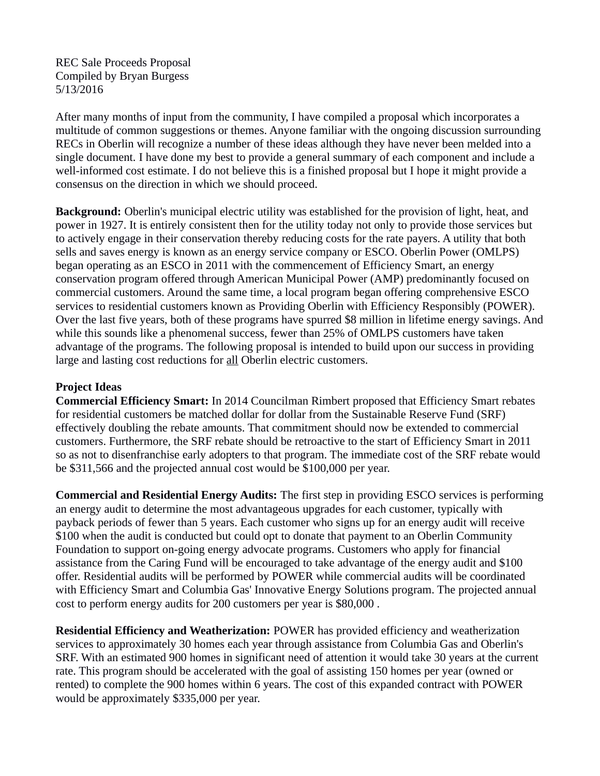REC Sale Proceeds Proposal Compiled by Bryan Burgess 5/13/2016

After many months of input from the community, I have compiled a proposal which incorporates a multitude of common suggestions or themes. Anyone familiar with the ongoing discussion surrounding RECs in Oberlin will recognize a number of these ideas although they have never been melded into a single document. I have done my best to provide a general summary of each component and include a well-informed cost estimate. I do not believe this is a finished proposal but I hope it might provide a consensus on the direction in which we should proceed.

**Background:** Oberlin's municipal electric utility was established for the provision of light, heat, and power in 1927. It is entirely consistent then for the utility today not only to provide those services but to actively engage in their conservation thereby reducing costs for the rate payers. A utility that both sells and saves energy is known as an energy service company or ESCO. Oberlin Power (OMLPS) began operating as an ESCO in 2011 with the commencement of Efficiency Smart, an energy conservation program offered through American Municipal Power (AMP) predominantly focused on commercial customers. Around the same time, a local program began offering comprehensive ESCO services to residential customers known as Providing Oberlin with Efficiency Responsibly (POWER). Over the last five years, both of these programs have spurred \$8 million in lifetime energy savings. And while this sounds like a phenomenal success, fewer than 25% of OMLPS customers have taken advantage of the programs. The following proposal is intended to build upon our success in providing large and lasting cost reductions for all Oberlin electric customers.

## **Project Ideas**

**Commercial Efficiency Smart:** In 2014 Councilman Rimbert proposed that Efficiency Smart rebates for residential customers be matched dollar for dollar from the Sustainable Reserve Fund (SRF) effectively doubling the rebate amounts. That commitment should now be extended to commercial customers. Furthermore, the SRF rebate should be retroactive to the start of Efficiency Smart in 2011 so as not to disenfranchise early adopters to that program. The immediate cost of the SRF rebate would be \$311,566 and the projected annual cost would be \$100,000 per year.

**Commercial and Residential Energy Audits:** The first step in providing ESCO services is performing an energy audit to determine the most advantageous upgrades for each customer, typically with payback periods of fewer than 5 years. Each customer who signs up for an energy audit will receive \$100 when the audit is conducted but could opt to donate that payment to an Oberlin Community Foundation to support on-going energy advocate programs. Customers who apply for financial assistance from the Caring Fund will be encouraged to take advantage of the energy audit and \$100 offer. Residential audits will be performed by POWER while commercial audits will be coordinated with Efficiency Smart and Columbia Gas' Innovative Energy Solutions program. The projected annual cost to perform energy audits for 200 customers per year is \$80,000 .

**Residential Efficiency and Weatherization:** POWER has provided efficiency and weatherization services to approximately 30 homes each year through assistance from Columbia Gas and Oberlin's SRF. With an estimated 900 homes in significant need of attention it would take 30 years at the current rate. This program should be accelerated with the goal of assisting 150 homes per year (owned or rented) to complete the 900 homes within 6 years. The cost of this expanded contract with POWER would be approximately \$335,000 per year.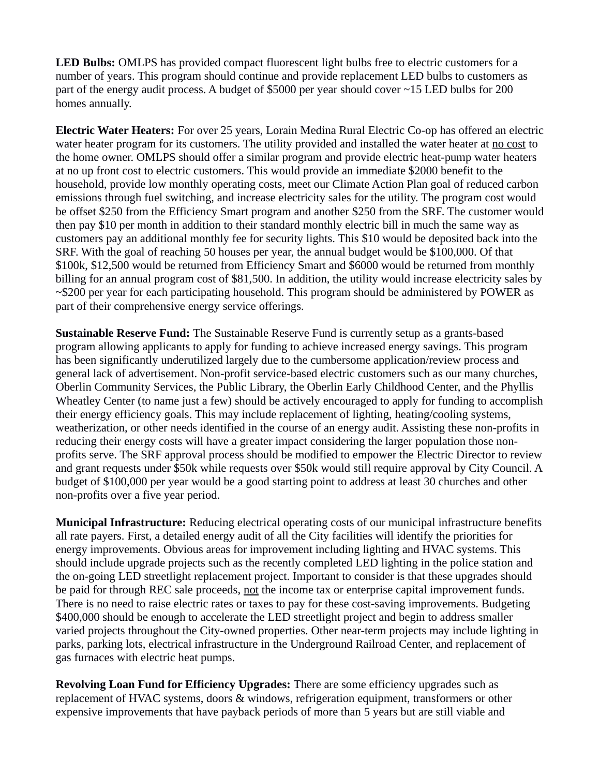**LED Bulbs:** OMLPS has provided compact fluorescent light bulbs free to electric customers for a number of years. This program should continue and provide replacement LED bulbs to customers as part of the energy audit process. A budget of \$5000 per year should cover  $\sim$ 15 LED bulbs for 200 homes annually.

**Electric Water Heaters:** For over 25 years, Lorain Medina Rural Electric Co-op has offered an electric water heater program for its customers. The utility provided and installed the water heater at no cost to the home owner. OMLPS should offer a similar program and provide electric heat-pump water heaters at no up front cost to electric customers. This would provide an immediate \$2000 benefit to the household, provide low monthly operating costs, meet our Climate Action Plan goal of reduced carbon emissions through fuel switching, and increase electricity sales for the utility. The program cost would be offset \$250 from the Efficiency Smart program and another \$250 from the SRF. The customer would then pay \$10 per month in addition to their standard monthly electric bill in much the same way as customers pay an additional monthly fee for security lights. This \$10 would be deposited back into the SRF. With the goal of reaching 50 houses per year, the annual budget would be \$100,000. Of that \$100k, \$12,500 would be returned from Efficiency Smart and \$6000 would be returned from monthly billing for an annual program cost of \$81,500. In addition, the utility would increase electricity sales by  $\sim$ \$200 per year for each participating household. This program should be administered by POWER as part of their comprehensive energy service offerings.

**Sustainable Reserve Fund:** The Sustainable Reserve Fund is currently setup as a grants-based program allowing applicants to apply for funding to achieve increased energy savings. This program has been significantly underutilized largely due to the cumbersome application/review process and general lack of advertisement. Non-profit service-based electric customers such as our many churches, Oberlin Community Services, the Public Library, the Oberlin Early Childhood Center, and the Phyllis Wheatley Center (to name just a few) should be actively encouraged to apply for funding to accomplish their energy efficiency goals. This may include replacement of lighting, heating/cooling systems, weatherization, or other needs identified in the course of an energy audit. Assisting these non-profits in reducing their energy costs will have a greater impact considering the larger population those nonprofits serve. The SRF approval process should be modified to empower the Electric Director to review and grant requests under \$50k while requests over \$50k would still require approval by City Council. A budget of \$100,000 per year would be a good starting point to address at least 30 churches and other non-profits over a five year period.

**Municipal Infrastructure:** Reducing electrical operating costs of our municipal infrastructure benefits all rate payers. First, a detailed energy audit of all the City facilities will identify the priorities for energy improvements. Obvious areas for improvement including lighting and HVAC systems. This should include upgrade projects such as the recently completed LED lighting in the police station and the on-going LED streetlight replacement project. Important to consider is that these upgrades should be paid for through REC sale proceeds, not the income tax or enterprise capital improvement funds. There is no need to raise electric rates or taxes to pay for these cost-saving improvements. Budgeting \$400,000 should be enough to accelerate the LED streetlight project and begin to address smaller varied projects throughout the City-owned properties. Other near-term projects may include lighting in parks, parking lots, electrical infrastructure in the Underground Railroad Center, and replacement of gas furnaces with electric heat pumps.

**Revolving Loan Fund for Efficiency Upgrades:** There are some efficiency upgrades such as replacement of HVAC systems, doors & windows, refrigeration equipment, transformers or other expensive improvements that have payback periods of more than 5 years but are still viable and